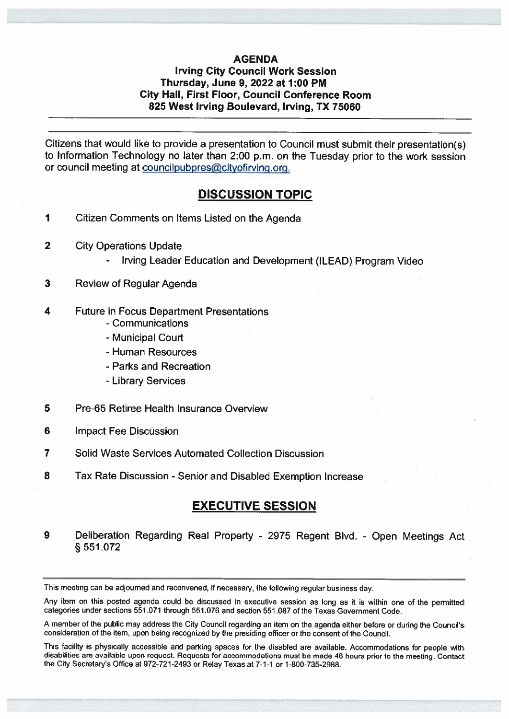## AGENDA

## Irving City Council Work Session Thursday, June 9, 2022 at 1:00 PM City Hall, First Floor, Council Conference Room 825 West Irving Boulevard, Irving, TX 75060

Citizens that would like to provide <sup>a</sup> presentation to Council must submit their presentation(s) to Information Technology no later than 2:00 p.m. on the Tuesday prior to the work session or council meeting at councilpubpres@cityofirving.org.

## DISCUSSION TOPIC

- 1 Citizen Comments on Items Listed on the Agenda
- 2 City Operations Update
	- Irving Leader Education and Development (ILEAD) Program Video
- 3 Review of Regular Agenda
- 4 Future in Focus Department Presentations
	- Communications
	- -Municipal Court
	- -Human Resources
	- -Parks and Recreation
	- -Library Services
- 5 Pre-65 Retiree Health Insurance Overview
- 6 Impact Fee Discussion
- 7 Solid Waste Services Automated Collection Discussion
- 8 Tax Rate Discussion Senior and Disabled Exemption Increase

# EXECUTIVE SESSION

<sup>9</sup> Deliberation Regarding Real Property - <sup>2975</sup> Regent Blvd. - Open Meetings Act § <sup>551</sup> .072

This meeting can be adjourned and reconvened, if necessary. the following regular business day.

Any item on this posted agenda could be discussed in executive session as long as it is within one of the perrnitted categories under sections 551,071 through 551.076 and section 551.087 of the Texas Government code.

<sup>A</sup> member of the public may address the city council regarding an item on the agenda either before or during the council's consideration of the item, upon being recognized by the presiding officer or the consent of the Council.

This facility is <sup>p</sup>hysically accessible and parking spaces for the disabled are available. Accommodations for people with disabilities are available upon request. Requests for accommodations must be made <sup>48</sup> hours prior to the meeting. Contact the City Secretary's Office at 972-721-2493 or Relay Texas at 7-1-1 or 1-800-735-2g88.